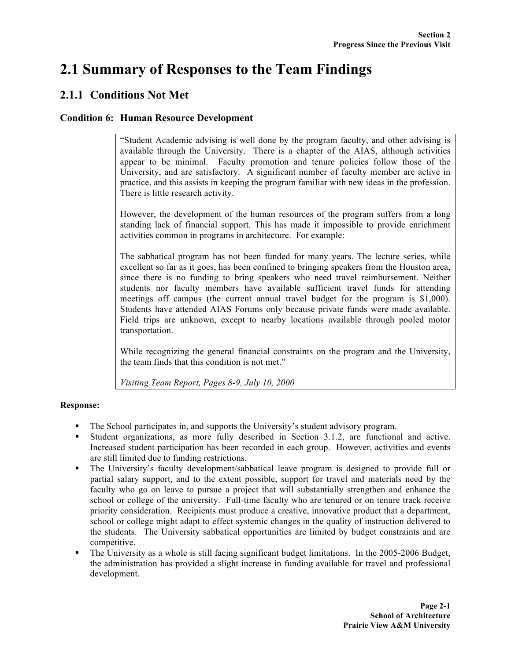# **2.1 Summary of Responses to the Team Findings**

# **2.1.1 Conditions Not Met**

# **Condition 6: Human Resource Development**

"Student Academic advising is well done by the program faculty, and other advising is available through the University. There is a chapter of the AIAS, although activities appear to be minimal. Faculty promotion and tenure policies follow those of the University, and are satisfactory. A significant number of faculty member are active in practice, and this assists in keeping the program familiar with new ideas in the profession. There is little research activity.

However, the development of the human resources of the program suffers from a long standing lack of financial support. This has made it impossible to provide enrichment activities common in programs in architecture. For example:

The sabbatical program has not been funded for many years. The lecture series, while excellent so far as it goes, has been confined to bringing speakers from the Houston area, since there is no funding to bring speakers who need travel reimbursement. Neither students nor faculty members have available sufficient travel funds for attending meetings off campus (the current annual travel budget for the program is \$1,000). Students have attended AIAS Forums only because private funds were made available. Field trips are unknown, except to nearby locations available through pooled motor transportation.

While recognizing the general financial constraints on the program and the University, the team finds that this condition is not met."

*Visiting Team Report, Pages 8-9, July 10, 2000*

# **Response:**

- The School participates in, and supports the University's student advisory program.
- Student organizations, as more fully described in Section 3.1.2, are functional and active. Increased student participation has been recorded in each group. However, activities and events are still limited due to funding restrictions.
- The University's faculty development/sabbatical leave program is designed to provide full or partial salary support, and to the extent possible, support for travel and materials need by the faculty who go on leave to pursue a project that will substantially strengthen and enhance the school or college of the university. Full-time faculty who are tenured or on tenure track receive priority consideration. Recipients must produce a creative, innovative product that a department, school or college might adapt to effect systemic changes in the quality of instruction delivered to the students. The University sabbatical opportunities are limited by budget constraints and are competitive.
- The University as a whole is still facing significant budget limitations. In the 2005-2006 Budget, the administration has provided a slight increase in funding available for travel and professional development.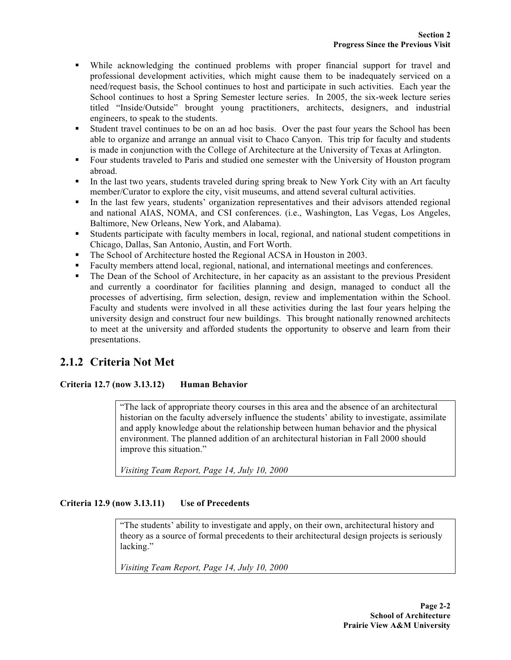- While acknowledging the continued problems with proper financial support for travel and professional development activities, which might cause them to be inadequately serviced on a need/request basis, the School continues to host and participate in such activities. Each year the School continues to host a Spring Semester lecture series. In 2005, the six-week lecture series titled "Inside/Outside" brought young practitioners, architects, designers, and industrial engineers, to speak to the students.
- Student travel continues to be on an ad hoc basis. Over the past four years the School has been able to organize and arrange an annual visit to Chaco Canyon. This trip for faculty and students is made in conjunction with the College of Architecture at the University of Texas at Arlington.
- Four students traveled to Paris and studied one semester with the University of Houston program abroad.
- In the last two years, students traveled during spring break to New York City with an Art faculty member/Curator to explore the city, visit museums, and attend several cultural activities.
- In the last few years, students' organization representatives and their advisors attended regional and national AIAS, NOMA, and CSI conferences. (i.e., Washington, Las Vegas, Los Angeles, Baltimore, New Orleans, New York, and Alabama).
- Students participate with faculty members in local, regional, and national student competitions in Chicago, Dallas, San Antonio, Austin, and Fort Worth.
- The School of Architecture hosted the Regional ACSA in Houston in 2003.
- Faculty members attend local, regional, national, and international meetings and conferences.
- The Dean of the School of Architecture, in her capacity as an assistant to the previous President and currently a coordinator for facilities planning and design, managed to conduct all the processes of advertising, firm selection, design, review and implementation within the School. Faculty and students were involved in all these activities during the last four years helping the university design and construct four new buildings. This brought nationally renowned architects to meet at the university and afforded students the opportunity to observe and learn from their presentations.

# **2.1.2 Criteria Not Met**

# **Criteria 12.7 (now 3.13.12) Human Behavior**

"The lack of appropriate theory courses in this area and the absence of an architectural historian on the faculty adversely influence the students' ability to investigate, assimilate and apply knowledge about the relationship between human behavior and the physical environment. The planned addition of an architectural historian in Fall 2000 should improve this situation."

*Visiting Team Report, Page 14, July 10, 2000*

### **Criteria 12.9 (now 3.13.11) Use of Precedents**

"The students' ability to investigate and apply, on their own, architectural history and theory as a source of formal precedents to their architectural design projects is seriously lacking."

*Visiting Team Report, Page 14, July 10, 2000*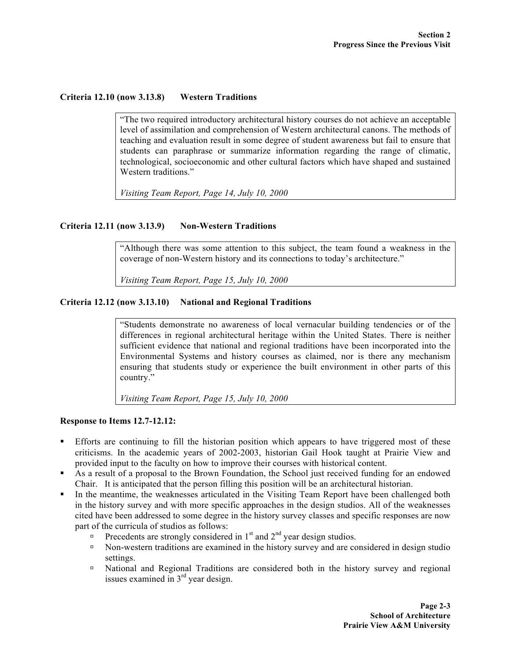#### **Criteria 12.10 (now 3.13.8) Western Traditions**

"The two required introductory architectural history courses do not achieve an acceptable level of assimilation and comprehension of Western architectural canons. The methods of teaching and evaluation result in some degree of student awareness but fail to ensure that students can paraphrase or summarize information regarding the range of climatic, technological, socioeconomic and other cultural factors which have shaped and sustained Western traditions."

*Visiting Team Report, Page 14, July 10, 2000*

#### **Criteria 12.11 (now 3.13.9) Non-Western Traditions**

"Although there was some attention to this subject, the team found a weakness in the coverage of non-Western history and its connections to today's architecture."

*Visiting Team Report, Page 15, July 10, 2000*

## **Criteria 12.12 (now 3.13.10) National and Regional Traditions**

"Students demonstrate no awareness of local vernacular building tendencies or of the differences in regional architectural heritage within the United States. There is neither sufficient evidence that national and regional traditions have been incorporated into the Environmental Systems and history courses as claimed, nor is there any mechanism ensuring that students study or experience the built environment in other parts of this country."

*Visiting Team Report, Page 15, July 10, 2000*

#### **Response to Items 12.7-12.12:**

- Efforts are continuing to fill the historian position which appears to have triggered most of these criticisms. In the academic years of 2002-2003, historian Gail Hook taught at Prairie View and provided input to the faculty on how to improve their courses with historical content.
- As a result of a proposal to the Brown Foundation, the School just received funding for an endowed Chair. It is anticipated that the person filling this position will be an architectural historian.
- In the meantime, the weaknesses articulated in the Visiting Team Report have been challenged both in the history survey and with more specific approaches in the design studios. All of the weaknesses cited have been addressed to some degree in the history survey classes and specific responses are now part of the curricula of studios as follows:
	- **Precedents are strongly considered in 1st and 2<sup>nd</sup> year design studios.**
	- Non-western traditions are examined in the history survey and are considered in design studio settings.
	- National and Regional Traditions are considered both in the history survey and regional issues examined in  $3<sup>rd</sup>$  year design.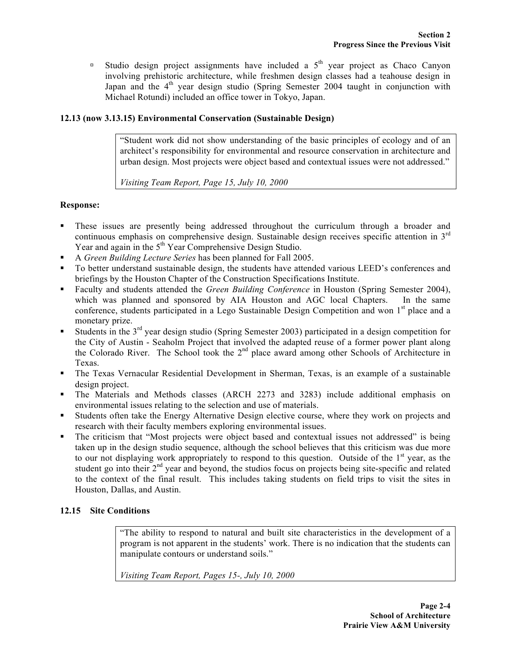Studio design project assignments have included a  $5<sup>th</sup>$  year project as Chaco Canyon involving prehistoric architecture, while freshmen design classes had a teahouse design in Japan and the 4<sup>th</sup> year design studio (Spring Semester 2004 taught in conjunction with Michael Rotundi) included an office tower in Tokyo, Japan.

# **12.13 (now 3.13.15) Environmental Conservation (Sustainable Design)**

"Student work did not show understanding of the basic principles of ecology and of an architect's responsibility for environmental and resource conservation in architecture and urban design. Most projects were object based and contextual issues were not addressed."

*Visiting Team Report, Page 15, July 10, 2000*

## **Response:**

- These issues are presently being addressed throughout the curriculum through a broader and continuous emphasis on comprehensive design. Sustainable design receives specific attention in  $3<sup>rd</sup>$ Year and again in the  $5<sup>th</sup>$  Year Comprehensive Design Studio.
- A *Green Building Lecture Series* has been planned for Fall 2005.
- To better understand sustainable design, the students have attended various LEED's conferences and briefings by the Houston Chapter of the Construction Specifications Institute.
- Faculty and students attended the *Green Building Conference* in Houston (Spring Semester 2004), which was planned and sponsored by AIA Houston and AGC local Chapters. In the same conference, students participated in a Lego Sustainable Design Competition and won  $1<sup>st</sup>$  place and a monetary prize.
- Students in the 3<sup>rd</sup> year design studio (Spring Semester 2003) participated in a design competition for the City of Austin - Seaholm Project that involved the adapted reuse of a former power plant along the Colorado River. The School took the 2<sup>nd</sup> place award among other Schools of Architecture in Texas.
- The Texas Vernacular Residential Development in Sherman, Texas, is an example of a sustainable design project.
- The Materials and Methods classes (ARCH 2273 and 3283) include additional emphasis on environmental issues relating to the selection and use of materials.
- Students often take the Energy Alternative Design elective course, where they work on projects and research with their faculty members exploring environmental issues.
- The criticism that "Most projects were object based and contextual issues not addressed" is being taken up in the design studio sequence, although the school believes that this criticism was due more to our not displaying work appropriately to respond to this question. Outside of the  $1<sup>st</sup>$  year, as the student go into their  $2<sup>nd</sup>$  year and beyond, the studios focus on projects being site-specific and related to the context of the final result. This includes taking students on field trips to visit the sites in Houston, Dallas, and Austin.

# **12.15 Site Conditions**

"The ability to respond to natural and built site characteristics in the development of a program is not apparent in the students' work. There is no indication that the students can manipulate contours or understand soils."

*Visiting Team Report, Pages 15-, July 10, 2000*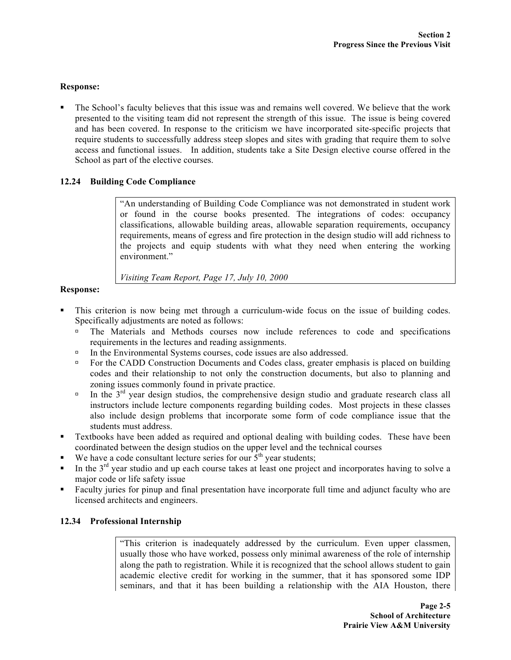### **Response:**

 The School's faculty believes that this issue was and remains well covered. We believe that the work presented to the visiting team did not represent the strength of this issue. The issue is being covered and has been covered. In response to the criticism we have incorporated site-specific projects that require students to successfully address steep slopes and sites with grading that require them to solve access and functional issues. In addition, students take a Site Design elective course offered in the School as part of the elective courses.

# **12.24 Building Code Compliance**

"An understanding of Building Code Compliance was not demonstrated in student work or found in the course books presented. The integrations of codes: occupancy classifications, allowable building areas, allowable separation requirements, occupancy requirements, means of egress and fire protection in the design studio will add richness to the projects and equip students with what they need when entering the working environment."

*Visiting Team Report, Page 17, July 10, 2000*

### **Response:**

- This criterion is now being met through a curriculum-wide focus on the issue of building codes. Specifically adjustments are noted as follows:
	- The Materials and Methods courses now include references to code and specifications requirements in the lectures and reading assignments.
	- In the Environmental Systems courses, code issues are also addressed.
	- □ For the CADD Construction Documents and Codes class, greater emphasis is placed on building codes and their relationship to not only the construction documents, but also to planning and zoning issues commonly found in private practice.
	- In the  $3<sup>rd</sup>$  year design studios, the comprehensive design studio and graduate research class all instructors include lecture components regarding building codes. Most projects in these classes also include design problems that incorporate some form of code compliance issue that the students must address.
- Textbooks have been added as required and optional dealing with building codes. These have been coordinated between the design studios on the upper level and the technical courses
- We have a code consultant lecture series for our  $\hat{5}^{\text{th}}$  year students;
- In the 3<sup>rd</sup> year studio and up each course takes at least one project and incorporates having to solve a major code or life safety issue
- Faculty juries for pinup and final presentation have incorporate full time and adjunct faculty who are licensed architects and engineers.

# **12.34 Professional Internship**

"This criterion is inadequately addressed by the curriculum. Even upper classmen, usually those who have worked, possess only minimal awareness of the role of internship along the path to registration. While it is recognized that the school allows student to gain academic elective credit for working in the summer, that it has sponsored some IDP seminars, and that it has been building a relationship with the AIA Houston, there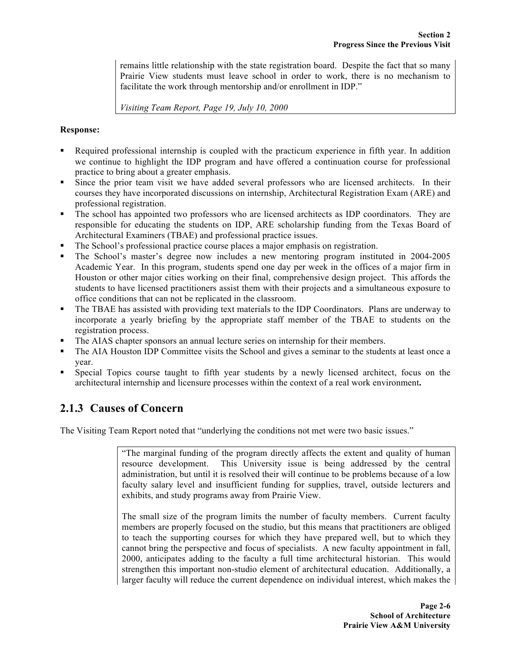remains little relationship with the state registration board. Despite the fact that so many Prairie View students must leave school in order to work, there is no mechanism to facilitate the work through mentorship and/or enrollment in IDP."

*Visiting Team Report, Page 19, July 10, 2000*

## **Response:**

- Required professional internship is coupled with the practicum experience in fifth year. In addition we continue to highlight the IDP program and have offered a continuation course for professional practice to bring about a greater emphasis.
- Since the prior team visit we have added several professors who are licensed architects. In their courses they have incorporated discussions on internship, Architectural Registration Exam (ARE) and professional registration.
- The school has appointed two professors who are licensed architects as IDP coordinators. They are responsible for educating the students on IDP, ARE scholarship funding from the Texas Board of Architectural Examiners (TBAE) and professional practice issues.
- The School's professional practice course places a major emphasis on registration.
- The School's master's degree now includes a new mentoring program instituted in 2004-2005 Academic Year. In this program, students spend one day per week in the offices of a major firm in Houston or other major cities working on their final, comprehensive design project. This affords the students to have licensed practitioners assist them with their projects and a simultaneous exposure to office conditions that can not be replicated in the classroom.
- The TBAE has assisted with providing text materials to the IDP Coordinators. Plans are underway to incorporate a yearly briefing by the appropriate staff member of the TBAE to students on the registration process.
- The AIAS chapter sponsors an annual lecture series on internship for their members.
- The AIA Houston IDP Committee visits the School and gives a seminar to the students at least once a year.
- Special Topics course taught to fifth year students by a newly licensed architect, focus on the architectural internship and licensure processes within the context of a real work environment**.**

# **2.1.3 Causes of Concern**

The Visiting Team Report noted that "underlying the conditions not met were two basic issues."

"The marginal funding of the program directly affects the extent and quality of human resource development. This University issue is being addressed by the central administration, but until it is resolved their will continue to be problems because of a low faculty salary level and insufficient funding for supplies, travel, outside lecturers and exhibits, and study programs away from Prairie View.

The small size of the program limits the number of faculty members. Current faculty members are properly focused on the studio, but this means that practitioners are obliged to teach the supporting courses for which they have prepared well, but to which they cannot bring the perspective and focus of specialists. A new faculty appointment in fall, 2000, anticipates adding to the faculty a full time architectural historian. This would strengthen this important non-studio element of architectural education. Additionally, a larger faculty will reduce the current dependence on individual interest, which makes the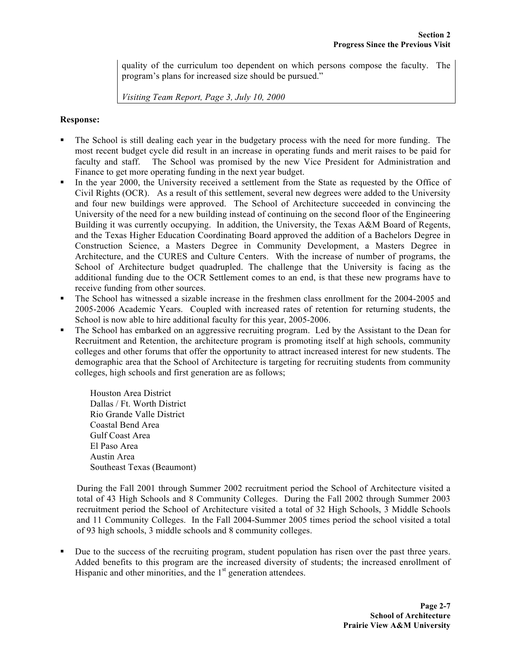quality of the curriculum too dependent on which persons compose the faculty. The program's plans for increased size should be pursued."

*Visiting Team Report, Page 3, July 10, 2000*

### **Response:**

- The School is still dealing each year in the budgetary process with the need for more funding. The most recent budget cycle did result in an increase in operating funds and merit raises to be paid for faculty and staff. The School was promised by the new Vice President for Administration and Finance to get more operating funding in the next year budget.
- In the year 2000, the University received a settlement from the State as requested by the Office of Civil Rights (OCR). As a result of this settlement, several new degrees were added to the University and four new buildings were approved. The School of Architecture succeeded in convincing the University of the need for a new building instead of continuing on the second floor of the Engineering Building it was currently occupying. In addition, the University, the Texas A&M Board of Regents, and the Texas Higher Education Coordinating Board approved the addition of a Bachelors Degree in Construction Science, a Masters Degree in Community Development, a Masters Degree in Architecture, and the CURES and Culture Centers. With the increase of number of programs, the School of Architecture budget quadrupled. The challenge that the University is facing as the additional funding due to the OCR Settlement comes to an end, is that these new programs have to receive funding from other sources.
- The School has witnessed a sizable increase in the freshmen class enrollment for the 2004-2005 and 2005-2006 Academic Years. Coupled with increased rates of retention for returning students, the School is now able to hire additional faculty for this year, 2005-2006.
- The School has embarked on an aggressive recruiting program. Led by the Assistant to the Dean for Recruitment and Retention, the architecture program is promoting itself at high schools, community colleges and other forums that offer the opportunity to attract increased interest for new students. The demographic area that the School of Architecture is targeting for recruiting students from community colleges, high schools and first generation are as follows;

Houston Area District Dallas / Ft. Worth District Rio Grande Valle District Coastal Bend Area Gulf Coast Area El Paso Area Austin Area Southeast Texas (Beaumont)

During the Fall 2001 through Summer 2002 recruitment period the School of Architecture visited a total of 43 High Schools and 8 Community Colleges. During the Fall 2002 through Summer 2003 recruitment period the School of Architecture visited a total of 32 High Schools, 3 Middle Schools and 11 Community Colleges. In the Fall 2004-Summer 2005 times period the school visited a total of 93 high schools, 3 middle schools and 8 community colleges.

 Due to the success of the recruiting program, student population has risen over the past three years. Added benefits to this program are the increased diversity of students; the increased enrollment of Hispanic and other minorities, and the  $1<sup>st</sup>$  generation attendees.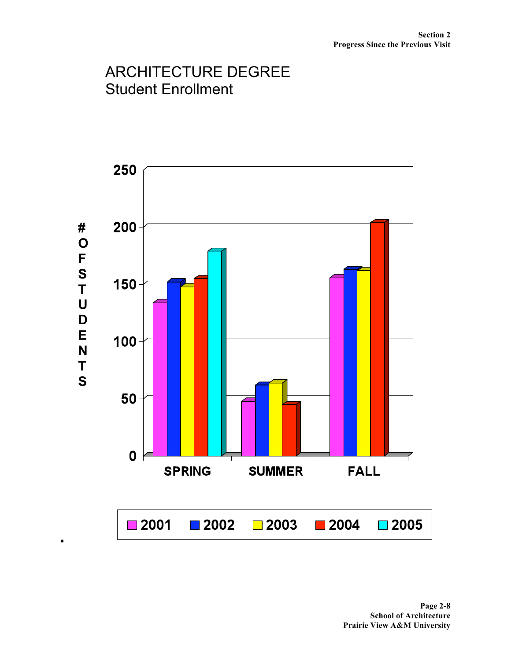# ARCHITECTURE DEGREE Student Enrollment

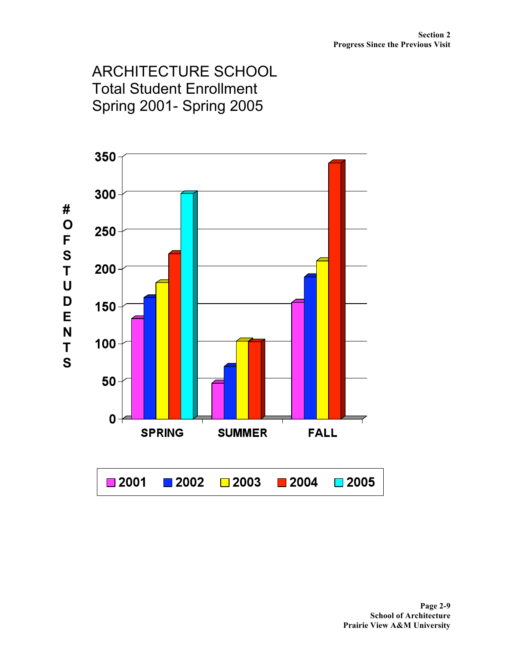# ARCHITECTURE SCHOOL Total Student Enrollment Spring 2001- Spring 2005

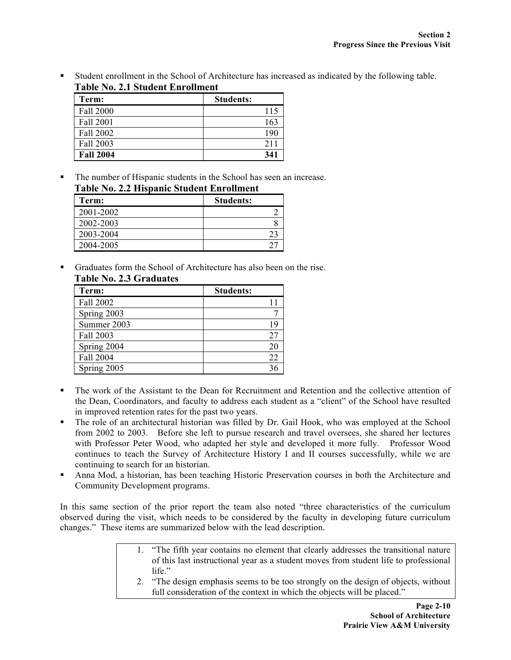Student enrollment in the School of Architecture has increased as indicated by the following table. **Table No. 2.1 Student Enrollment**

| Term:            | <b>Students:</b> |
|------------------|------------------|
| Fall 2000        | 115              |
| Fall 2001        | 163              |
| Fall 2002        | 190              |
| Fall 2003        | 211              |
| <b>Fall 2004</b> | 341              |

 The number of Hispanic students in the School has seen an increase. **Table No. 2.2 Hispanic Student Enrollment**

| Table Tw. 2.2 Hispanic Student Emploment |                  |
|------------------------------------------|------------------|
| Term:                                    | <b>Students:</b> |
| 2001-2002                                |                  |
| 2002-2003                                |                  |
| 2003-2004                                | 23               |
| 2004-2005                                |                  |

 Graduates form the School of Architecture has also been on the rise. **Table No. 2.3 Graduates**

| Term:       | <b>Students:</b> |
|-------------|------------------|
| Fall 2002   |                  |
| Spring 2003 |                  |
| Summer 2003 | 19               |
| Fall 2003   | 27               |
| Spring 2004 | 20               |
| Fall 2004   | 22               |
| Spring 2005 |                  |

- The work of the Assistant to the Dean for Recruitment and Retention and the collective attention of the Dean, Coordinators, and faculty to address each student as a "client" of the School have resulted in improved retention rates for the past two years.
- The role of an architectural historian was filled by Dr. Gail Hook, who was employed at the School from 2002 to 2003. Before she left to pursue research and travel oversees, she shared her lectures with Professor Peter Wood, who adapted her style and developed it more fully. Professor Wood continues to teach the Survey of Architecture History I and II courses successfully, while we are continuing to search for an historian.
- Anna Mod, a historian, has been teaching Historic Preservation courses in both the Architecture and Community Development programs.

In this same section of the prior report the team also noted "three characteristics of the curriculum observed during the visit, which needs to be considered by the faculty in developing future curriculum changes." These items are summarized below with the lead description.

- 1. "The fifth year contains no element that clearly addresses the transitional nature of this last instructional year as a student moves from student life to professional life."
- 2. "The design emphasis seems to be too strongly on the design of objects, without full consideration of the context in which the objects will be placed."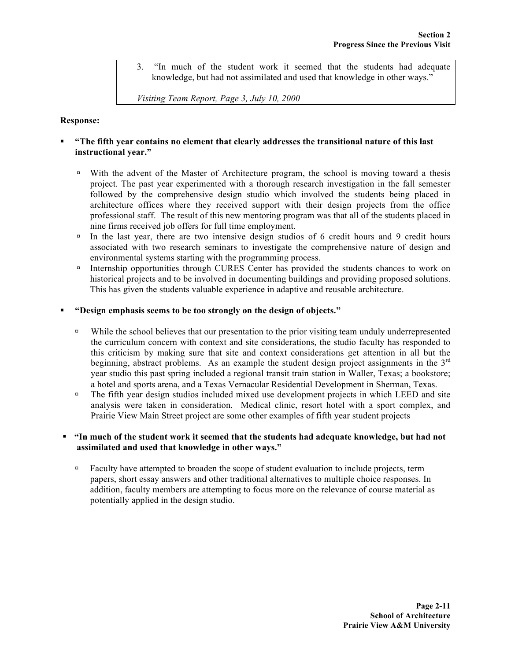3. "In much of the student work it seemed that the students had adequate knowledge, but had not assimilated and used that knowledge in other ways."

*Visiting Team Report, Page 3, July 10, 2000*

#### **Response:**

### **"The fifth year contains no element that clearly addresses the transitional nature of this last instructional year."**

- With the advent of the Master of Architecture program, the school is moving toward a thesis project. The past year experimented with a thorough research investigation in the fall semester followed by the comprehensive design studio which involved the students being placed in architecture offices where they received support with their design projects from the office professional staff. The result of this new mentoring program was that all of the students placed in nine firms received job offers for full time employment.
- $\Box$  In the last year, there are two intensive design studios of 6 credit hours and 9 credit hours associated with two research seminars to investigate the comprehensive nature of design and environmental systems starting with the programming process.
- Internship opportunities through CURES Center has provided the students chances to work on historical projects and to be involved in documenting buildings and providing proposed solutions. This has given the students valuable experience in adaptive and reusable architecture.

#### **"Design emphasis seems to be too strongly on the design of objects."**

- <sup>I</sup> While the school believes that our presentation to the prior visiting team unduly underrepresented the curriculum concern with context and site considerations, the studio faculty has responded to this criticism by making sure that site and context considerations get attention in all but the beginning, abstract problems. As an example the student design project assignments in the  $3<sup>rd</sup>$ year studio this past spring included a regional transit train station in Waller, Texas; a bookstore; a hotel and sports arena, and a Texas Vernacular Residential Development in Sherman, Texas.
- <sup>In</sup> The fifth year design studios included mixed use development projects in which LEED and site analysis were taken in consideration. Medical clinic, resort hotel with a sport complex, and Prairie View Main Street project are some other examples of fifth year student projects

### **"In much of the student work it seemed that the students had adequate knowledge, but had not assimilated and used that knowledge in other ways."**

□ Faculty have attempted to broaden the scope of student evaluation to include projects, term papers, short essay answers and other traditional alternatives to multiple choice responses. In addition, faculty members are attempting to focus more on the relevance of course material as potentially applied in the design studio.